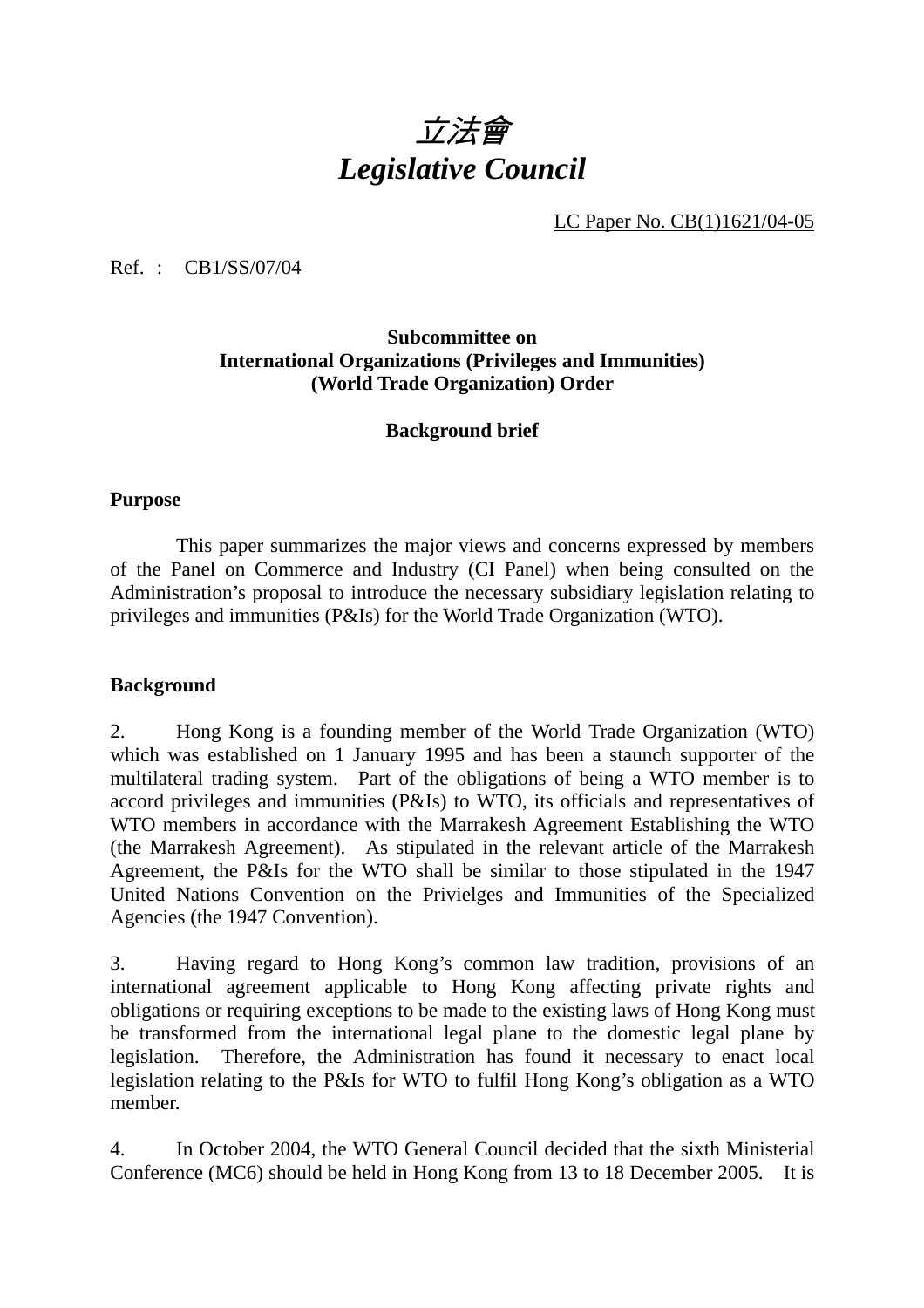# 立法會 *Legislative Council*

LC Paper No. CB(1)1621/04-05

Ref. : CB1/SS/07/04

### **Subcommittee on International Organizations (Privileges and Immunities) (World Trade Organization) Order**

#### **Background brief**

#### **Purpose**

 This paper summarizes the major views and concerns expressed by members of the Panel on Commerce and Industry (CI Panel) when being consulted on the Administration's proposal to introduce the necessary subsidiary legislation relating to privileges and immunities (P&Is) for the World Trade Organization (WTO).

#### **Background**

2. Hong Kong is a founding member of the World Trade Organization (WTO) which was established on 1 January 1995 and has been a staunch supporter of the multilateral trading system. Part of the obligations of being a WTO member is to accord privileges and immunities (P&Is) to WTO, its officials and representatives of WTO members in accordance with the Marrakesh Agreement Establishing the WTO (the Marrakesh Agreement). As stipulated in the relevant article of the Marrakesh Agreement, the P&Is for the WTO shall be similar to those stipulated in the 1947 United Nations Convention on the Privielges and Immunities of the Specialized Agencies (the 1947 Convention).

3. Having regard to Hong Kong's common law tradition, provisions of an international agreement applicable to Hong Kong affecting private rights and obligations or requiring exceptions to be made to the existing laws of Hong Kong must be transformed from the international legal plane to the domestic legal plane by legislation. Therefore, the Administration has found it necessary to enact local legislation relating to the P&Is for WTO to fulfil Hong Kong's obligation as a WTO member.

4. In October 2004, the WTO General Council decided that the sixth Ministerial Conference (MC6) should be held in Hong Kong from 13 to 18 December 2005. It is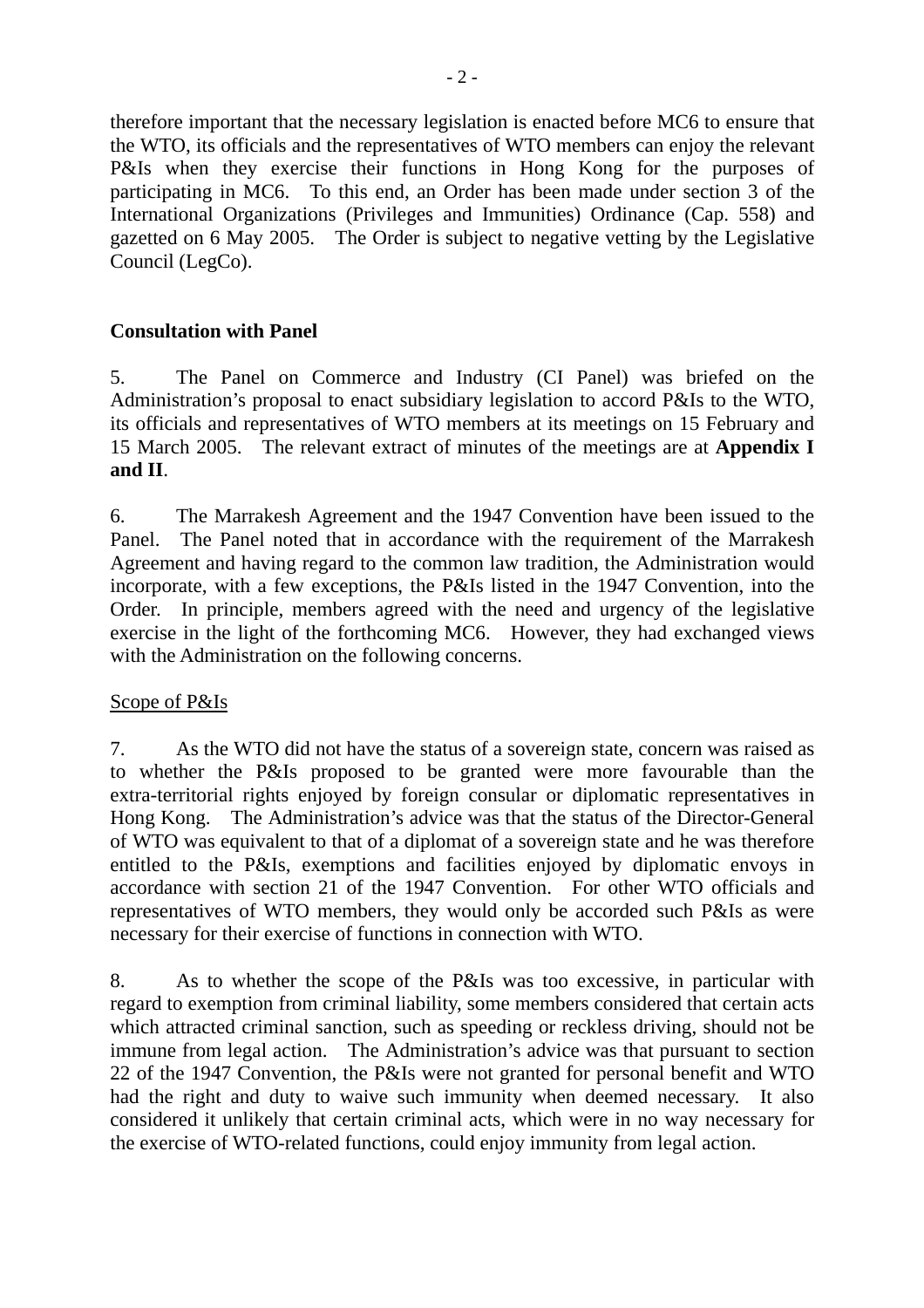therefore important that the necessary legislation is enacted before MC6 to ensure that the WTO, its officials and the representatives of WTO members can enjoy the relevant P&Is when they exercise their functions in Hong Kong for the purposes of participating in MC6. To this end, an Order has been made under section 3 of the International Organizations (Privileges and Immunities) Ordinance (Cap. 558) and gazetted on 6 May 2005. The Order is subject to negative vetting by the Legislative Council (LegCo).

# **Consultation with Panel**

5. The Panel on Commerce and Industry (CI Panel) was briefed on the Administration's proposal to enact subsidiary legislation to accord P&Is to the WTO, its officials and representatives of WTO members at its meetings on 15 February and 15 March 2005. The relevant extract of minutes of the meetings are at **Appendix I and II**.

6. The Marrakesh Agreement and the 1947 Convention have been issued to the Panel. The Panel noted that in accordance with the requirement of the Marrakesh Agreement and having regard to the common law tradition, the Administration would incorporate, with a few exceptions, the P&Is listed in the 1947 Convention, into the Order. In principle, members agreed with the need and urgency of the legislative exercise in the light of the forthcoming MC6. However, they had exchanged views with the Administration on the following concerns.

## Scope of P&Is

7. As the WTO did not have the status of a sovereign state, concern was raised as to whether the P&Is proposed to be granted were more favourable than the extra-territorial rights enjoyed by foreign consular or diplomatic representatives in Hong Kong. The Administration's advice was that the status of the Director-General of WTO was equivalent to that of a diplomat of a sovereign state and he was therefore entitled to the P&Is, exemptions and facilities enjoyed by diplomatic envoys in accordance with section 21 of the 1947 Convention. For other WTO officials and representatives of WTO members, they would only be accorded such P&Is as were necessary for their exercise of functions in connection with WTO.

8. As to whether the scope of the P&Is was too excessive, in particular with regard to exemption from criminal liability, some members considered that certain acts which attracted criminal sanction, such as speeding or reckless driving, should not be immune from legal action. The Administration's advice was that pursuant to section 22 of the 1947 Convention, the P&Is were not granted for personal benefit and WTO had the right and duty to waive such immunity when deemed necessary. It also considered it unlikely that certain criminal acts, which were in no way necessary for the exercise of WTO-related functions, could enjoy immunity from legal action.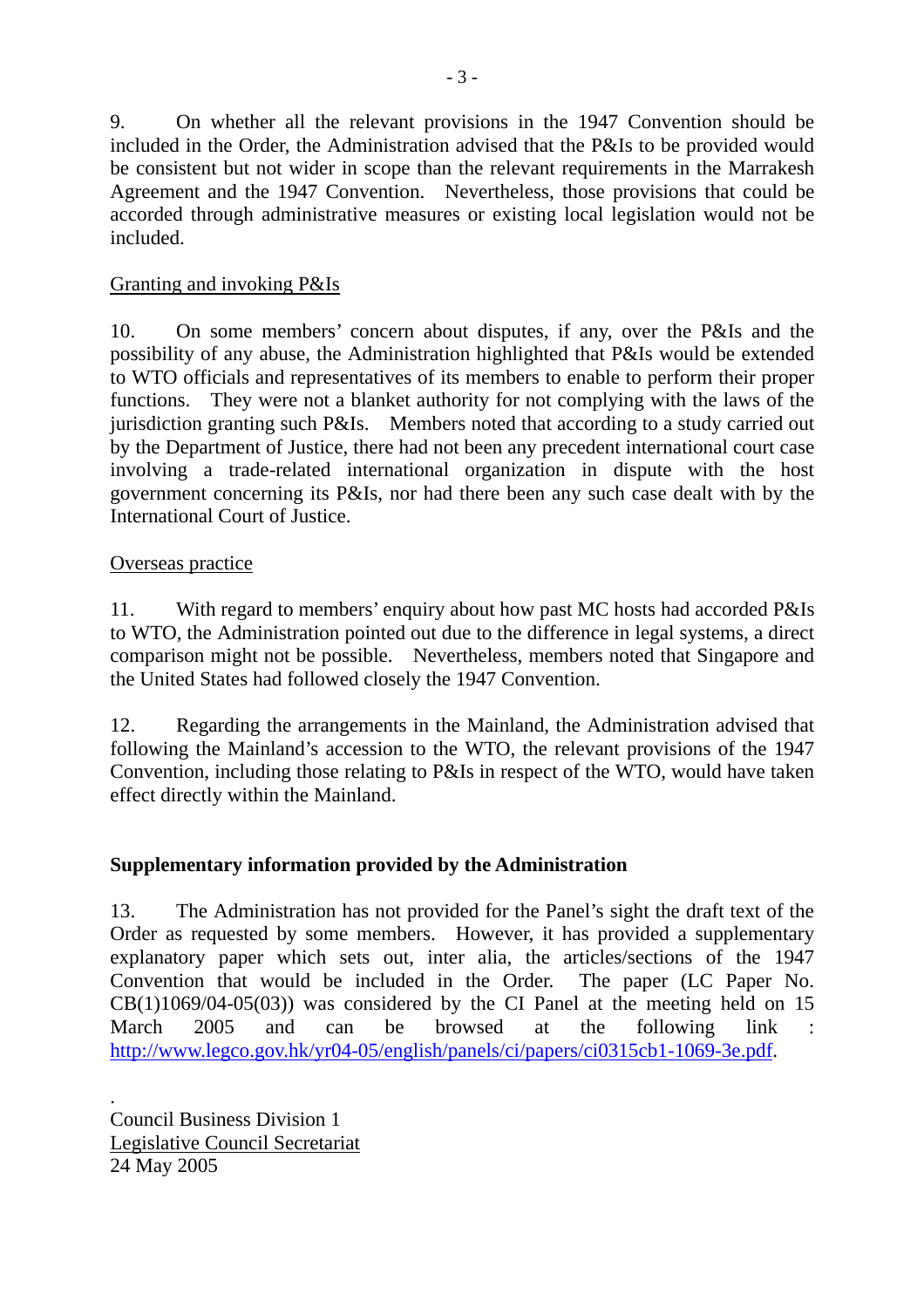9. On whether all the relevant provisions in the 1947 Convention should be included in the Order, the Administration advised that the P&Is to be provided would be consistent but not wider in scope than the relevant requirements in the Marrakesh Agreement and the 1947 Convention. Nevertheless, those provisions that could be accorded through administrative measures or existing local legislation would not be included.

# Granting and invoking P&Is

10. On some members' concern about disputes, if any, over the P&Is and the possibility of any abuse, the Administration highlighted that P&Is would be extended to WTO officials and representatives of its members to enable to perform their proper functions. They were not a blanket authority for not complying with the laws of the jurisdiction granting such P&Is. Members noted that according to a study carried out by the Department of Justice, there had not been any precedent international court case involving a trade-related international organization in dispute with the host government concerning its P&Is, nor had there been any such case dealt with by the International Court of Justice.

## Overseas practice

11. With regard to members' enquiry about how past MC hosts had accorded P&Is to WTO, the Administration pointed out due to the difference in legal systems, a direct comparison might not be possible. Nevertheless, members noted that Singapore and the United States had followed closely the 1947 Convention.

12. Regarding the arrangements in the Mainland, the Administration advised that following the Mainland's accession to the WTO, the relevant provisions of the 1947 Convention, including those relating to P&Is in respect of the WTO, would have taken effect directly within the Mainland.

# **Supplementary information provided by the Administration**

13. The Administration has not provided for the Panel's sight the draft text of the Order as requested by some members. However, it has provided a supplementary explanatory paper which sets out, inter alia, the articles/sections of the 1947 Convention that would be included in the Order. The paper (LC Paper No.  $CB(1)1069/04-05(03)$  was considered by the CI Panel at the meeting held on 15 March 2005 and can be browsed at the following link : http://www.legco.gov.hk/yr04-05/english/panels/ci/papers/ci0315cb1-1069-3e.pdf.

. Council Business Division 1 Legislative Council Secretariat 24 May 2005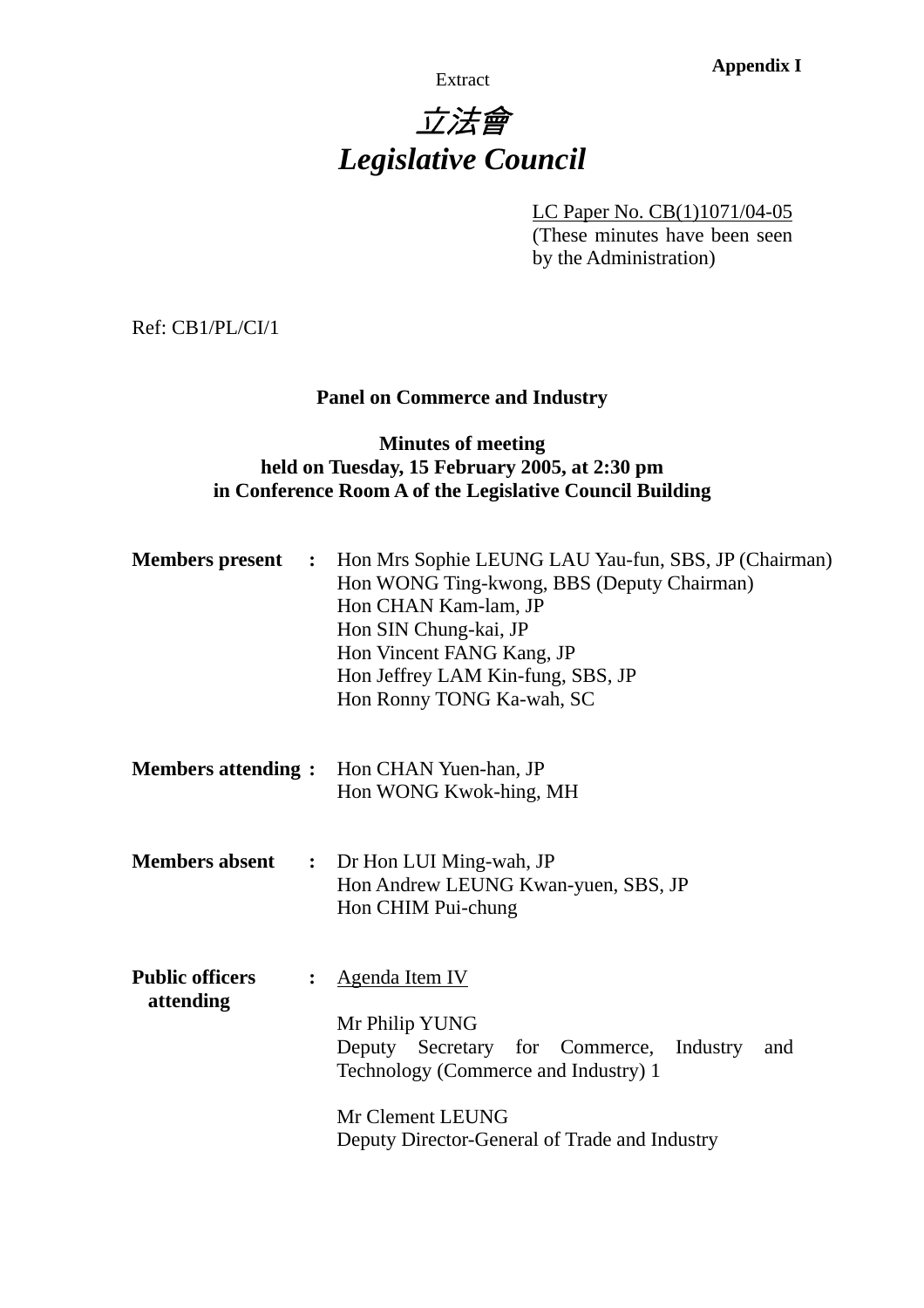**Appendix I Appendix I** 

# 立法會 *Legislative Council*

LC Paper No. CB(1)1071/04-05

(These minutes have been seen by the Administration)

Ref: CB1/PL/CI/1

# **Panel on Commerce and Industry**

# **Minutes of meeting held on Tuesday, 15 February 2005, at 2:30 pm in Conference Room A of the Legislative Council Building**

| <b>Members present :</b>            |                | Hon Mrs Sophie LEUNG LAU Yau-fun, SBS, JP (Chairman)<br>Hon WONG Ting-kwong, BBS (Deputy Chairman)<br>Hon CHAN Kam-lam, JP<br>Hon SIN Chung-kai, JP<br>Hon Vincent FANG Kang, JP<br>Hon Jeffrey LAM Kin-fung, SBS, JP<br>Hon Ronny TONG Ka-wah, SC |  |  |  |  |  |
|-------------------------------------|----------------|----------------------------------------------------------------------------------------------------------------------------------------------------------------------------------------------------------------------------------------------------|--|--|--|--|--|
| <b>Members attending:</b>           |                | Hon CHAN Yuen-han, JP<br>Hon WONG Kwok-hing, MH                                                                                                                                                                                                    |  |  |  |  |  |
| <b>Members absent</b>               | $\ddot{\cdot}$ | Dr Hon LUI Ming-wah, JP<br>Hon Andrew LEUNG Kwan-yuen, SBS, JP<br>Hon CHIM Pui-chung                                                                                                                                                               |  |  |  |  |  |
| <b>Public officers</b><br>attending | $\ddot{\cdot}$ | <b>Agenda Item IV</b><br>Mr Philip YUNG<br>Deputy Secretary for Commerce, Industry<br>and<br>Technology (Commerce and Industry) 1<br>Mr Clement LEUNG<br>Deputy Director-General of Trade and Industry                                             |  |  |  |  |  |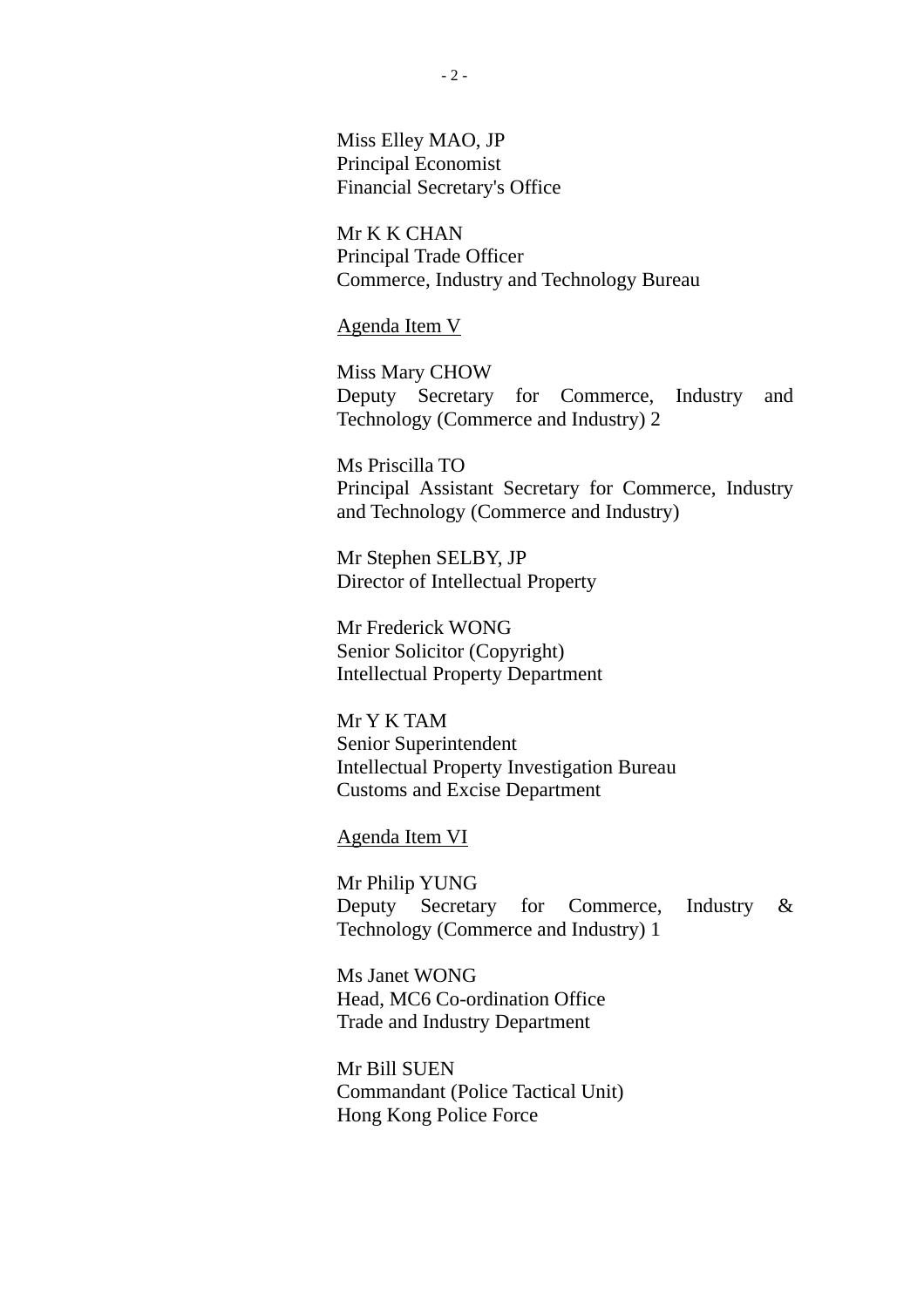Miss Elley MAO, JP Principal Economist Financial Secretary's Office

Mr K K CHAN Principal Trade Officer Commerce, Industry and Technology Bureau

Agenda Item V

Miss Mary CHOW Deputy Secretary for Commerce, Industry and Technology (Commerce and Industry) 2

Ms Priscilla TO Principal Assistant Secretary for Commerce, Industry and Technology (Commerce and Industry)

Mr Stephen SELBY, JP Director of Intellectual Property

Mr Frederick WONG Senior Solicitor (Copyright) Intellectual Property Department

Mr Y K TAM Senior Superintendent Intellectual Property Investigation Bureau Customs and Excise Department

Agenda Item VI

Mr Philip YUNG Deputy Secretary for Commerce, Industry & Technology (Commerce and Industry) 1

Ms Janet WONG Head, MC6 Co-ordination Office Trade and Industry Department

Mr Bill SUEN Commandant (Police Tactical Unit) Hong Kong Police Force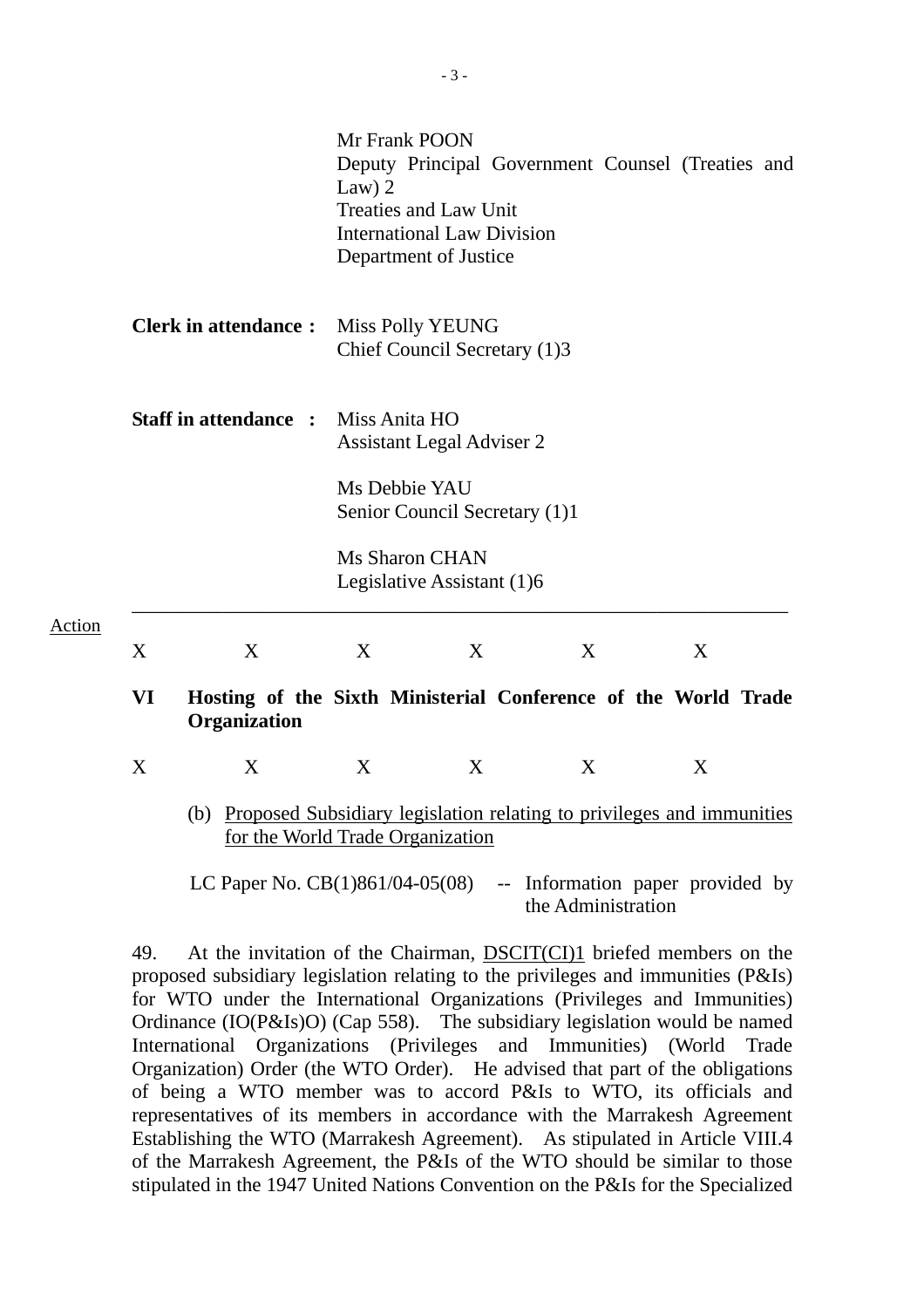|        |           |                                                                                                               | Law $)$ 2                                               | Mr Frank POON<br><b>Treaties and Law Unit</b><br><b>International Law Division</b><br>Department of Justice | Deputy Principal Government Counsel (Treaties and |  |   |  |  |  |
|--------|-----------|---------------------------------------------------------------------------------------------------------------|---------------------------------------------------------|-------------------------------------------------------------------------------------------------------------|---------------------------------------------------|--|---|--|--|--|
|        |           | <b>Clerk in attendance:</b>                                                                                   | <b>Miss Polly YEUNG</b><br>Chief Council Secretary (1)3 |                                                                                                             |                                                   |  |   |  |  |  |
|        |           | <b>Staff in attendance :</b>                                                                                  |                                                         | Miss Anita HO<br><b>Assistant Legal Adviser 2</b>                                                           |                                                   |  |   |  |  |  |
|        |           |                                                                                                               | Ms Debbie YAU<br>Senior Council Secretary (1)1          |                                                                                                             |                                                   |  |   |  |  |  |
|        |           |                                                                                                               |                                                         | <b>Ms Sharon CHAN</b><br>Legislative Assistant (1)6                                                         |                                                   |  |   |  |  |  |
| Action | X         | X                                                                                                             | X                                                       | X                                                                                                           | X                                                 |  | X |  |  |  |
|        | <b>VI</b> | Hosting of the Sixth Ministerial Conference of the World Trade<br>Organization                                |                                                         |                                                                                                             |                                                   |  |   |  |  |  |
|        | X         | X                                                                                                             | X                                                       | X                                                                                                           | X                                                 |  | X |  |  |  |
|        |           | (b) Proposed Subsidiary legislation relating to privileges and immunities<br>for the World Trade Organization |                                                         |                                                                                                             |                                                   |  |   |  |  |  |
|        |           | LC Paper No. $CB(1)861/04-05(08)$                                                                             |                                                         |                                                                                                             | -- Information paper provided by                  |  |   |  |  |  |

the Administration

49. At the invitation of the Chairman, **DSCIT(CI)1** briefed members on the proposed subsidiary legislation relating to the privileges and immunities (P&Is) for WTO under the International Organizations (Privileges and Immunities) Ordinance (IO(P&Is)O) (Cap 558). The subsidiary legislation would be named International Organizations (Privileges and Immunities) (World Trade Organization) Order (the WTO Order). He advised that part of the obligations of being a WTO member was to accord P&Is to WTO, its officials and representatives of its members in accordance with the Marrakesh Agreement Establishing the WTO (Marrakesh Agreement). As stipulated in Article VIII.4 of the Marrakesh Agreement, the P&Is of the WTO should be similar to those stipulated in the 1947 United Nations Convention on the P&Is for the Specialized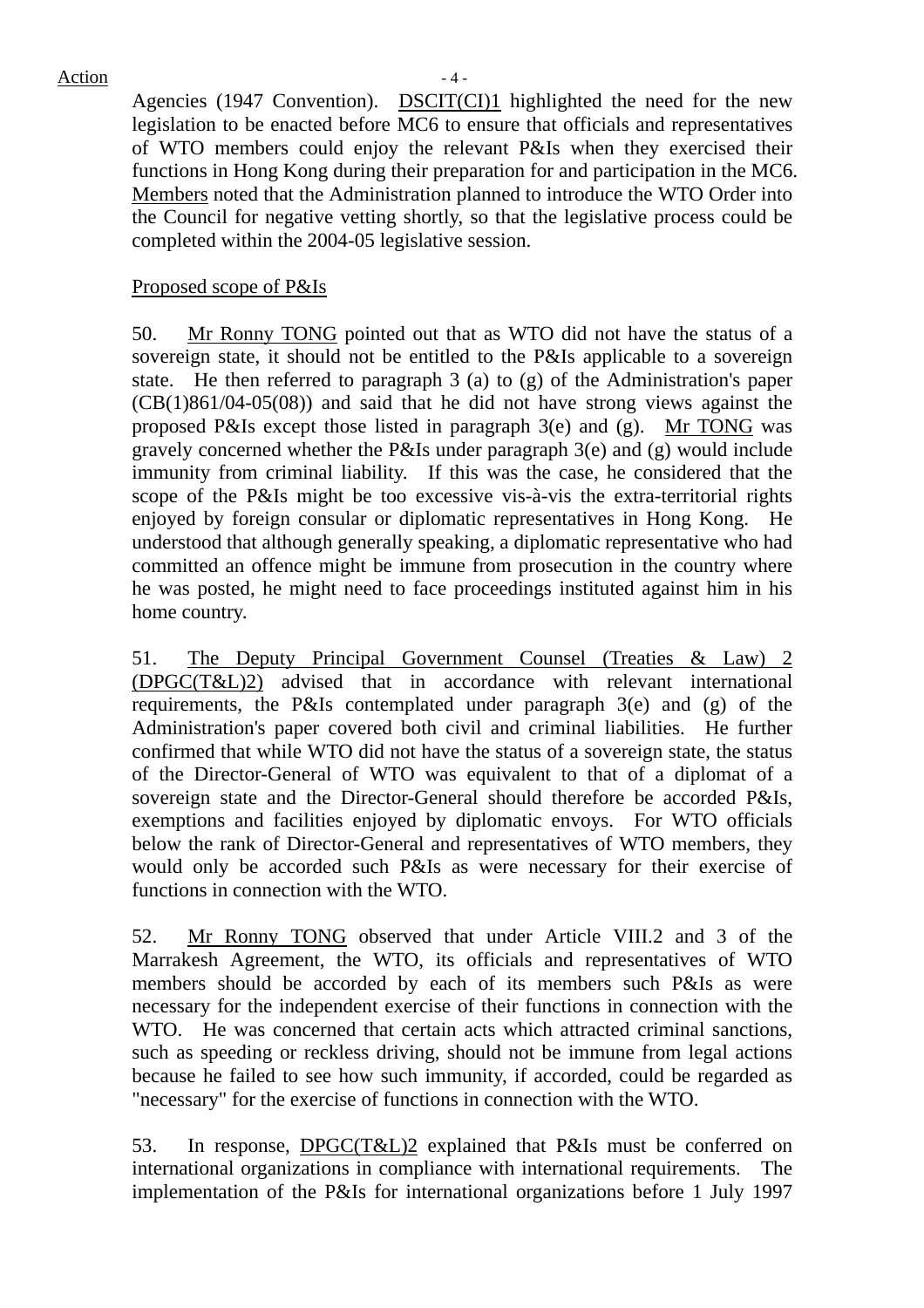Agencies (1947 Convention). DSCIT(CI)1 highlighted the need for the new legislation to be enacted before MC6 to ensure that officials and representatives of WTO members could enjoy the relevant P&Is when they exercised their functions in Hong Kong during their preparation for and participation in the MC6. Members noted that the Administration planned to introduce the WTO Order into the Council for negative vetting shortly, so that the legislative process could be completed within the 2004-05 legislative session.

#### Proposed scope of P&Is

50. Mr Ronny TONG pointed out that as WTO did not have the status of a sovereign state, it should not be entitled to the P&Is applicable to a sovereign state. He then referred to paragraph 3 (a) to (g) of the Administration's paper (CB(1)861/04-05(08)) and said that he did not have strong views against the proposed P&Is except those listed in paragraph 3(e) and (g). Mr TONG was gravely concerned whether the P&Is under paragraph 3(e) and (g) would include immunity from criminal liability. If this was the case, he considered that the scope of the P&Is might be too excessive vis-à-vis the extra-territorial rights enjoyed by foreign consular or diplomatic representatives in Hong Kong. He understood that although generally speaking, a diplomatic representative who had committed an offence might be immune from prosecution in the country where he was posted, he might need to face proceedings instituted against him in his home country.

51. The Deputy Principal Government Counsel (Treaties & Law) 2 (DPGC(T&L)2) advised that in accordance with relevant international requirements, the P&Is contemplated under paragraph 3(e) and (g) of the Administration's paper covered both civil and criminal liabilities. He further confirmed that while WTO did not have the status of a sovereign state, the status of the Director-General of WTO was equivalent to that of a diplomat of a sovereign state and the Director-General should therefore be accorded P&Is, exemptions and facilities enjoyed by diplomatic envoys. For WTO officials below the rank of Director-General and representatives of WTO members, they would only be accorded such P&Is as were necessary for their exercise of functions in connection with the WTO.

52. Mr Ronny TONG observed that under Article VIII.2 and 3 of the Marrakesh Agreement, the WTO, its officials and representatives of WTO members should be accorded by each of its members such P&Is as were necessary for the independent exercise of their functions in connection with the WTO. He was concerned that certain acts which attracted criminal sanctions, such as speeding or reckless driving, should not be immune from legal actions because he failed to see how such immunity, if accorded, could be regarded as "necessary" for the exercise of functions in connection with the WTO.

53. In response, DPGC(T&L)2 explained that P&Is must be conferred on international organizations in compliance with international requirements. The implementation of the P&Is for international organizations before 1 July 1997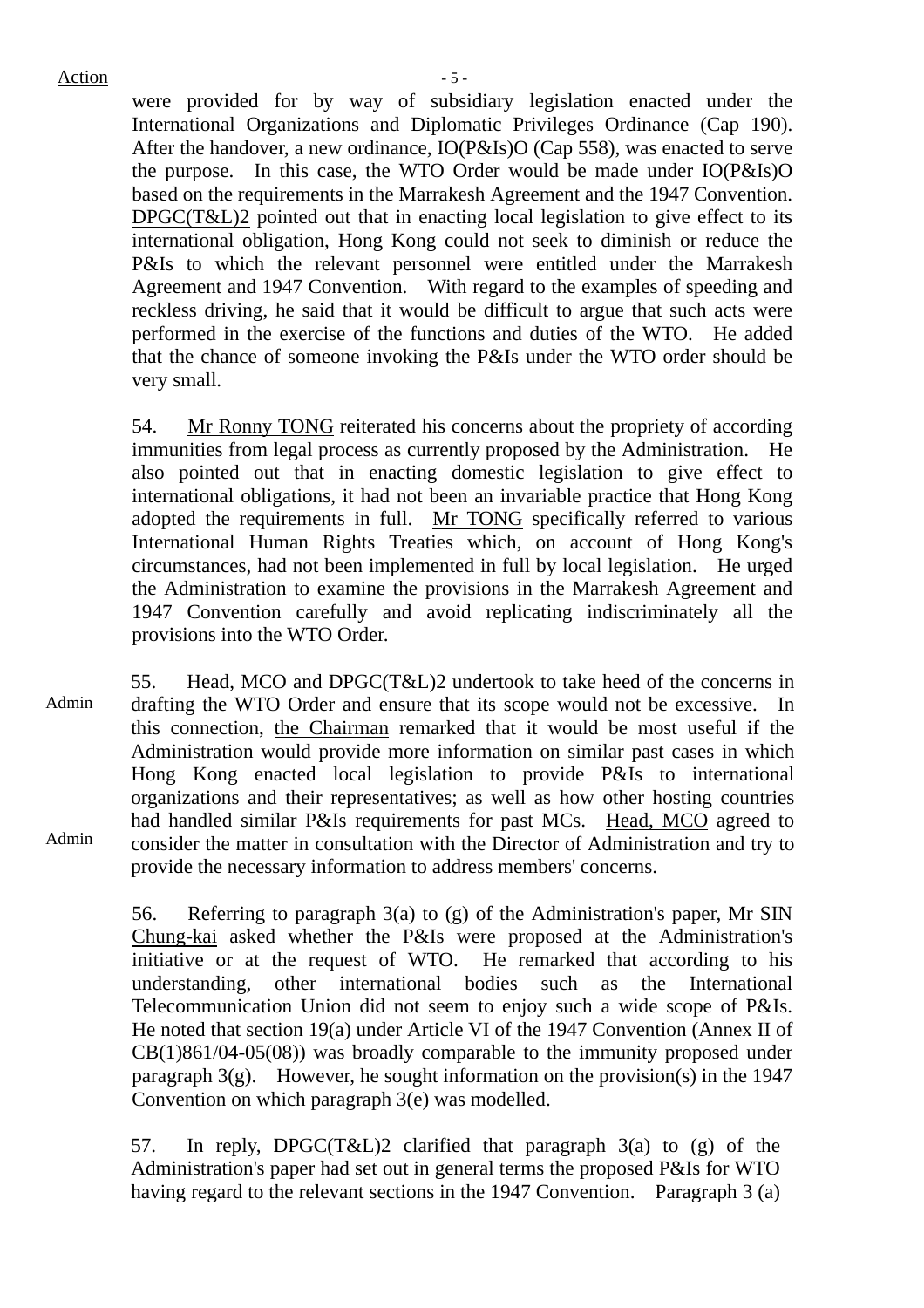Action  $-5$  -

were provided for by way of subsidiary legislation enacted under the International Organizations and Diplomatic Privileges Ordinance (Cap 190). After the handover, a new ordinance, IO(P&Is)O (Cap 558), was enacted to serve the purpose. In this case, the WTO Order would be made under IO(P&Is)O based on the requirements in the Marrakesh Agreement and the 1947 Convention. DPGC(T&L)2 pointed out that in enacting local legislation to give effect to its international obligation, Hong Kong could not seek to diminish or reduce the P&Is to which the relevant personnel were entitled under the Marrakesh Agreement and 1947 Convention. With regard to the examples of speeding and reckless driving, he said that it would be difficult to argue that such acts were performed in the exercise of the functions and duties of the WTO. He added that the chance of someone invoking the P&Is under the WTO order should be very small.

54. Mr Ronny TONG reiterated his concerns about the propriety of according immunities from legal process as currently proposed by the Administration. He also pointed out that in enacting domestic legislation to give effect to international obligations, it had not been an invariable practice that Hong Kong adopted the requirements in full. Mr TONG specifically referred to various International Human Rights Treaties which, on account of Hong Kong's circumstances, had not been implemented in full by local legislation. He urged the Administration to examine the provisions in the Marrakesh Agreement and 1947 Convention carefully and avoid replicating indiscriminately all the provisions into the WTO Order.

Admin Admin 55. Head, MCO and DPGC(T&L)2 undertook to take heed of the concerns in drafting the WTO Order and ensure that its scope would not be excessive. In this connection, the Chairman remarked that it would be most useful if the Administration would provide more information on similar past cases in which Hong Kong enacted local legislation to provide P&Is to international organizations and their representatives; as well as how other hosting countries had handled similar P&Is requirements for past MCs. Head, MCO agreed to consider the matter in consultation with the Director of Administration and try to provide the necessary information to address members' concerns.

> 56. Referring to paragraph 3(a) to (g) of the Administration's paper, Mr SIN Chung-kai asked whether the P&Is were proposed at the Administration's initiative or at the request of WTO. He remarked that according to his understanding, other international bodies such as the International Telecommunication Union did not seem to enjoy such a wide scope of P&Is. He noted that section 19(a) under Article VI of the 1947 Convention (Annex II of CB(1)861/04-05(08)) was broadly comparable to the immunity proposed under paragraph  $3(g)$ . However, he sought information on the provision(s) in the 1947 Convention on which paragraph 3(e) was modelled.

57. In reply, DPGC(T&L)2 clarified that paragraph 3(a) to (g) of the Administration's paper had set out in general terms the proposed P&Is for WTO having regard to the relevant sections in the 1947 Convention. Paragraph 3 (a)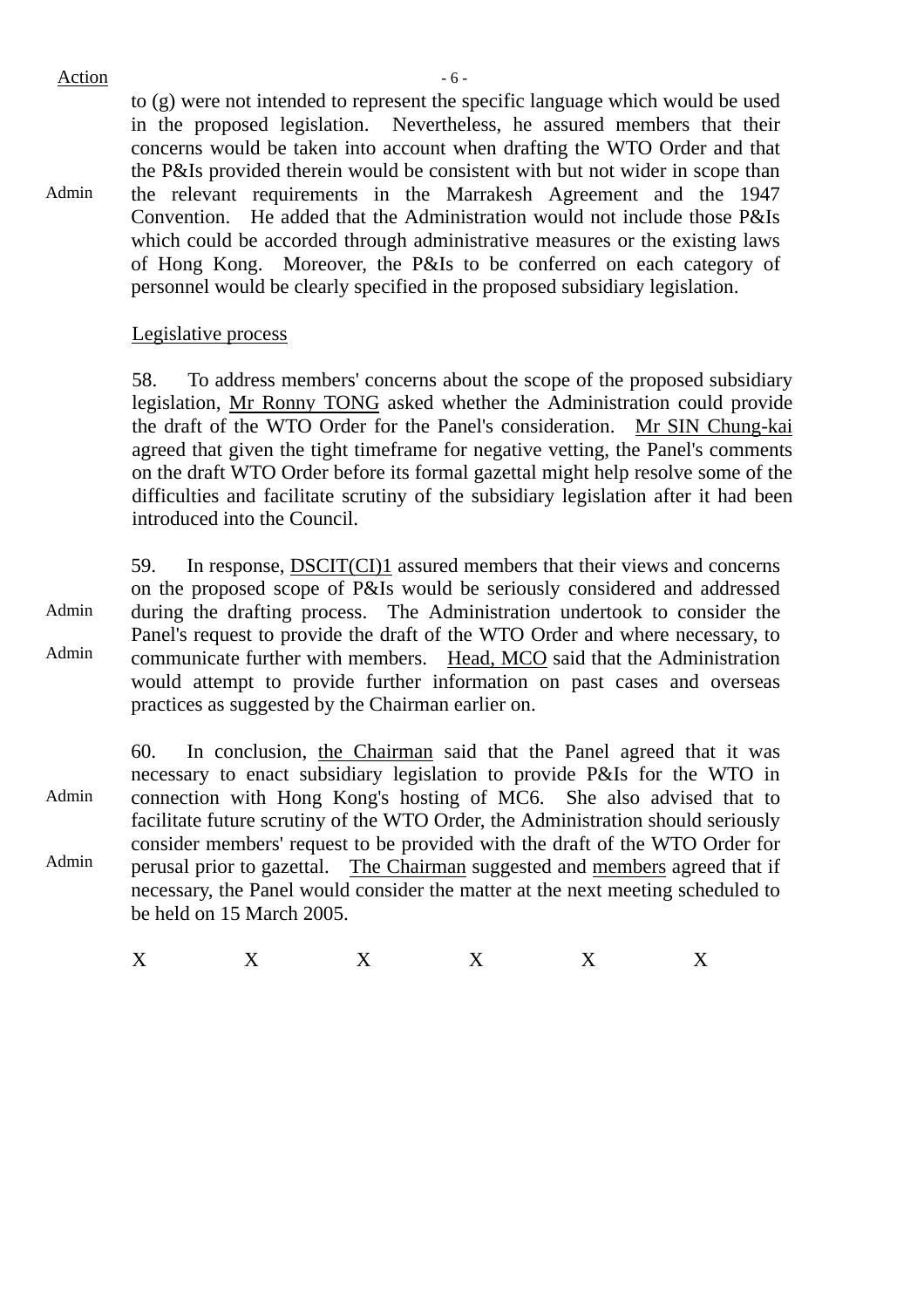Action  $-6$  -

Admin to (g) were not intended to represent the specific language which would be used in the proposed legislation. Nevertheless, he assured members that their concerns would be taken into account when drafting the WTO Order and that the P&Is provided therein would be consistent with but not wider in scope than the relevant requirements in the Marrakesh Agreement and the 1947 Convention. He added that the Administration would not include those P&Is which could be accorded through administrative measures or the existing laws of Hong Kong. Moreover, the P&Is to be conferred on each category of personnel would be clearly specified in the proposed subsidiary legislation.

#### Legislative process

58. To address members' concerns about the scope of the proposed subsidiary legislation, Mr Ronny TONG asked whether the Administration could provide the draft of the WTO Order for the Panel's consideration. Mr SIN Chung-kai agreed that given the tight timeframe for negative vetting, the Panel's comments on the draft WTO Order before its formal gazettal might help resolve some of the difficulties and facilitate scrutiny of the subsidiary legislation after it had been introduced into the Council.

Admin Admin 59. In response, DSCIT(CI)1 assured members that their views and concerns on the proposed scope of P&Is would be seriously considered and addressed during the drafting process. The Administration undertook to consider the Panel's request to provide the draft of the WTO Order and where necessary, to communicate further with members. Head, MCO said that the Administration would attempt to provide further information on past cases and overseas practices as suggested by the Chairman earlier on.

Admin Admin 60. In conclusion, the Chairman said that the Panel agreed that it was necessary to enact subsidiary legislation to provide P&Is for the WTO in connection with Hong Kong's hosting of MC6. She also advised that to facilitate future scrutiny of the WTO Order, the Administration should seriously consider members' request to be provided with the draft of the WTO Order for perusal prior to gazettal. The Chairman suggested and members agreed that if necessary, the Panel would consider the matter at the next meeting scheduled to be held on 15 March 2005.

 $X$  X  $X$  X  $X$  X X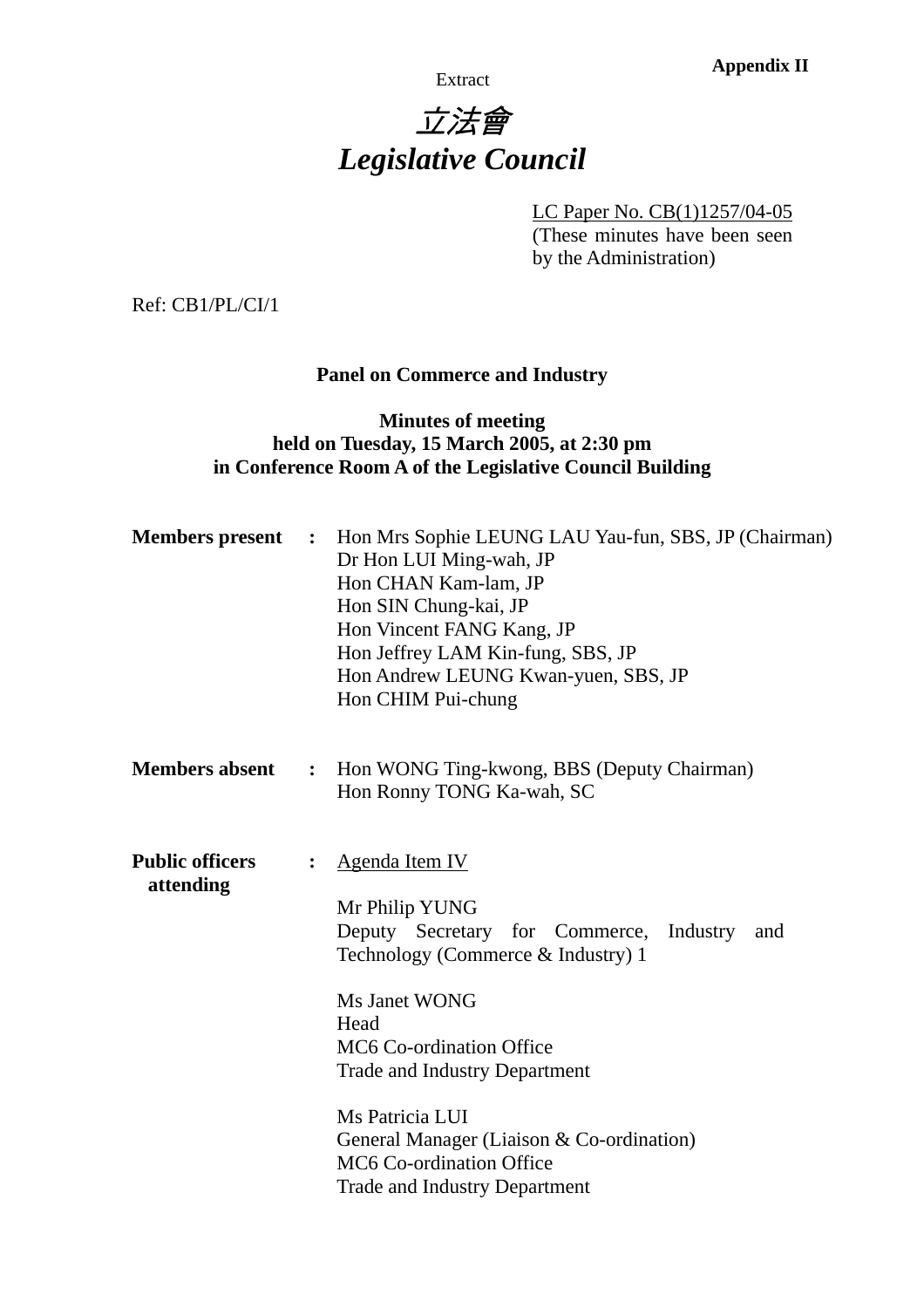Extract **Appendix II** 

# 立法會 *Legislative Council*

LC Paper No. CB(1)1257/04-05

(These minutes have been seen by the Administration)

Ref: CB1/PL/CI/1

# **Panel on Commerce and Industry**

## **Minutes of meeting held on Tuesday, 15 March 2005, at 2:30 pm in Conference Room A of the Legislative Council Building**

| <b>Members</b> present              | $\mathbb{R}^n$ | Hon Mrs Sophie LEUNG LAU Yau-fun, SBS, JP (Chairman)<br>Dr Hon LUI Ming-wah, JP<br>Hon CHAN Kam-lam, JP<br>Hon SIN Chung-kai, JP<br>Hon Vincent FANG Kang, JP<br>Hon Jeffrey LAM Kin-fung, SBS, JP<br>Hon Andrew LEUNG Kwan-yuen, SBS, JP<br>Hon CHIM Pui-chung                                                                                                  |
|-------------------------------------|----------------|------------------------------------------------------------------------------------------------------------------------------------------------------------------------------------------------------------------------------------------------------------------------------------------------------------------------------------------------------------------|
| <b>Members absent</b>               | $\ddot{\cdot}$ | Hon WONG Ting-kwong, BBS (Deputy Chairman)<br>Hon Ronny TONG Ka-wah, SC                                                                                                                                                                                                                                                                                          |
| <b>Public officers</b><br>attending | $\ddot{\cdot}$ | <b>Agenda Item IV</b><br>Mr Philip YUNG<br>Deputy Secretary for Commerce, Industry<br>and<br>Technology (Commerce & Industry) 1<br>Ms Janet WONG<br>Head<br>MC6 Co-ordination Office<br><b>Trade and Industry Department</b><br>Ms Patricia LUI<br>General Manager (Liaison & Co-ordination)<br>MC6 Co-ordination Office<br><b>Trade and Industry Department</b> |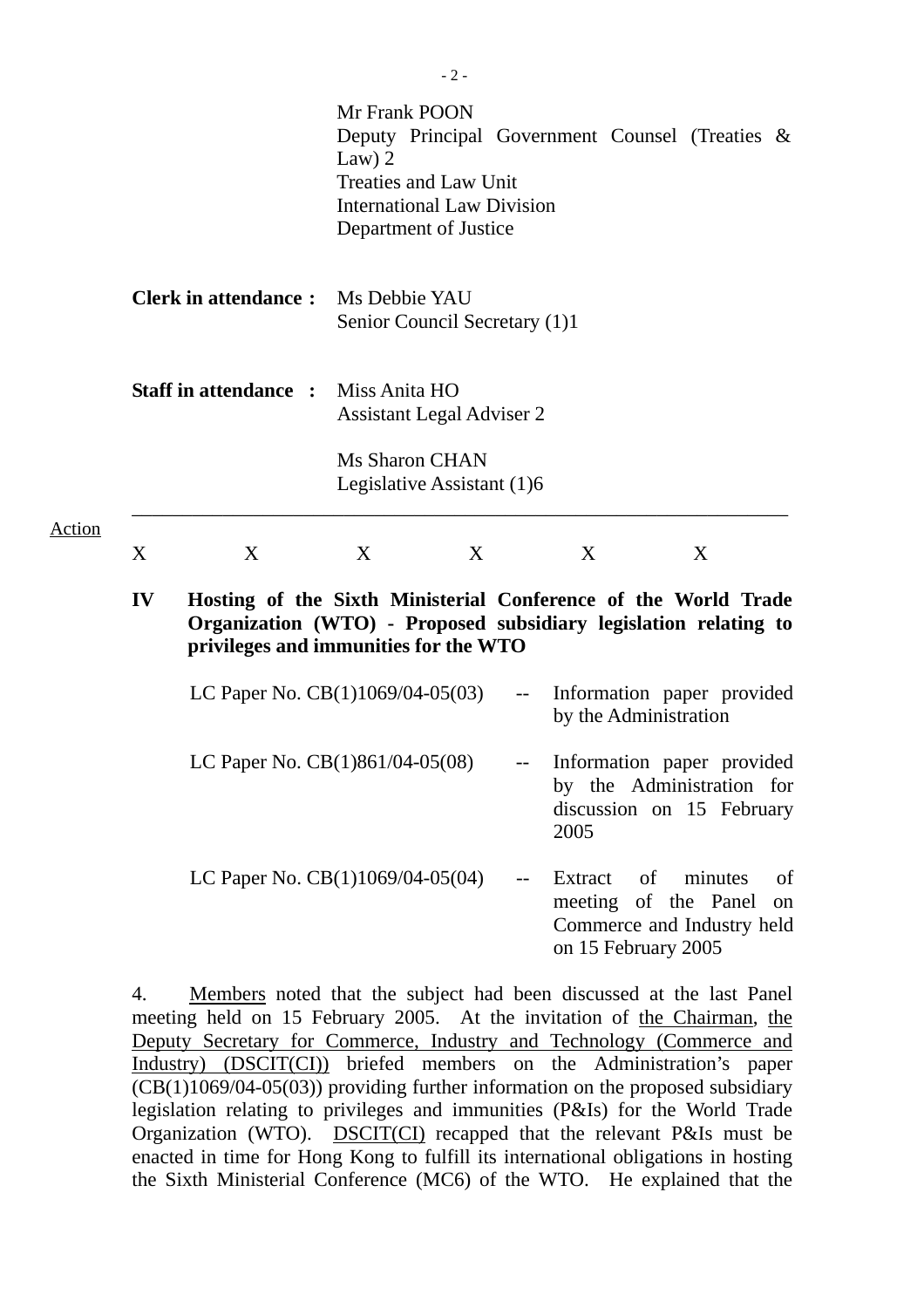|                                                                           |                                                                                                                                                                             |                                                                                                                         | $-2-$            |                             |                                                                                                 |    |         |          |
|---------------------------------------------------------------------------|-----------------------------------------------------------------------------------------------------------------------------------------------------------------------------|-------------------------------------------------------------------------------------------------------------------------|------------------|-----------------------------|-------------------------------------------------------------------------------------------------|----|---------|----------|
|                                                                           |                                                                                                                                                                             | Mr Frank POON<br>Law) $2$<br><b>Treaties and Law Unit</b><br><b>International Law Division</b><br>Department of Justice |                  |                             | Deputy Principal Government Counsel (Treaties &                                                 |    |         |          |
| <b>Clerk in attendance:</b><br><b>Staff in attendance : Miss Anita HO</b> |                                                                                                                                                                             | Ms Debbie YAU<br>Senior Council Secretary (1)1<br><b>Assistant Legal Adviser 2</b>                                      |                  |                             |                                                                                                 |    |         |          |
|                                                                           |                                                                                                                                                                             |                                                                                                                         |                  |                             |                                                                                                 |    |         |          |
| X<br>$\mathbf{IV}$                                                        | X                                                                                                                                                                           | X                                                                                                                       | $\boldsymbol{X}$ |                             | X                                                                                               |    | X       |          |
|                                                                           | Hosting of the Sixth Ministerial Conference of the World Trade<br>Organization (WTO) - Proposed subsidiary legislation relating to<br>privileges and immunities for the WTO |                                                                                                                         |                  |                             |                                                                                                 |    |         |          |
|                                                                           | LC Paper No. $CB(1)1069/04-05(03)$                                                                                                                                          |                                                                                                                         |                  | $\rightarrow$ $\rightarrow$ | Information paper provided<br>by the Administration                                             |    |         |          |
|                                                                           | LC Paper No. $CB(1)861/04-05(08)$                                                                                                                                           |                                                                                                                         |                  |                             | -- Information paper provided<br>by the Administration for<br>discussion on 15 February<br>2005 |    |         |          |
|                                                                           | LC Paper No. CB(1)1069/04-05(04)                                                                                                                                            |                                                                                                                         |                  |                             | Extract<br>meeting of the Panel<br>Commerce and Industry held<br>on 15 February 2005            | of | minutes | of<br>on |

4. Members noted that the subject had been discussed at the last Panel meeting held on 15 February 2005. At the invitation of the Chairman, the Deputy Secretary for Commerce, Industry and Technology (Commerce and Industry) (DSCIT(CI)) briefed members on the Administration's paper  $\overline{\text{ (CB(1)1069/04-05(03))}}$  providing further information on the proposed subsidiary legislation relating to privileges and immunities (P&Is) for the World Trade Organization (WTO). DSCIT(CI) recapped that the relevant P&Is must be enacted in time for Hong Kong to fulfill its international obligations in hosting the Sixth Ministerial Conference (MC6) of the WTO. He explained that the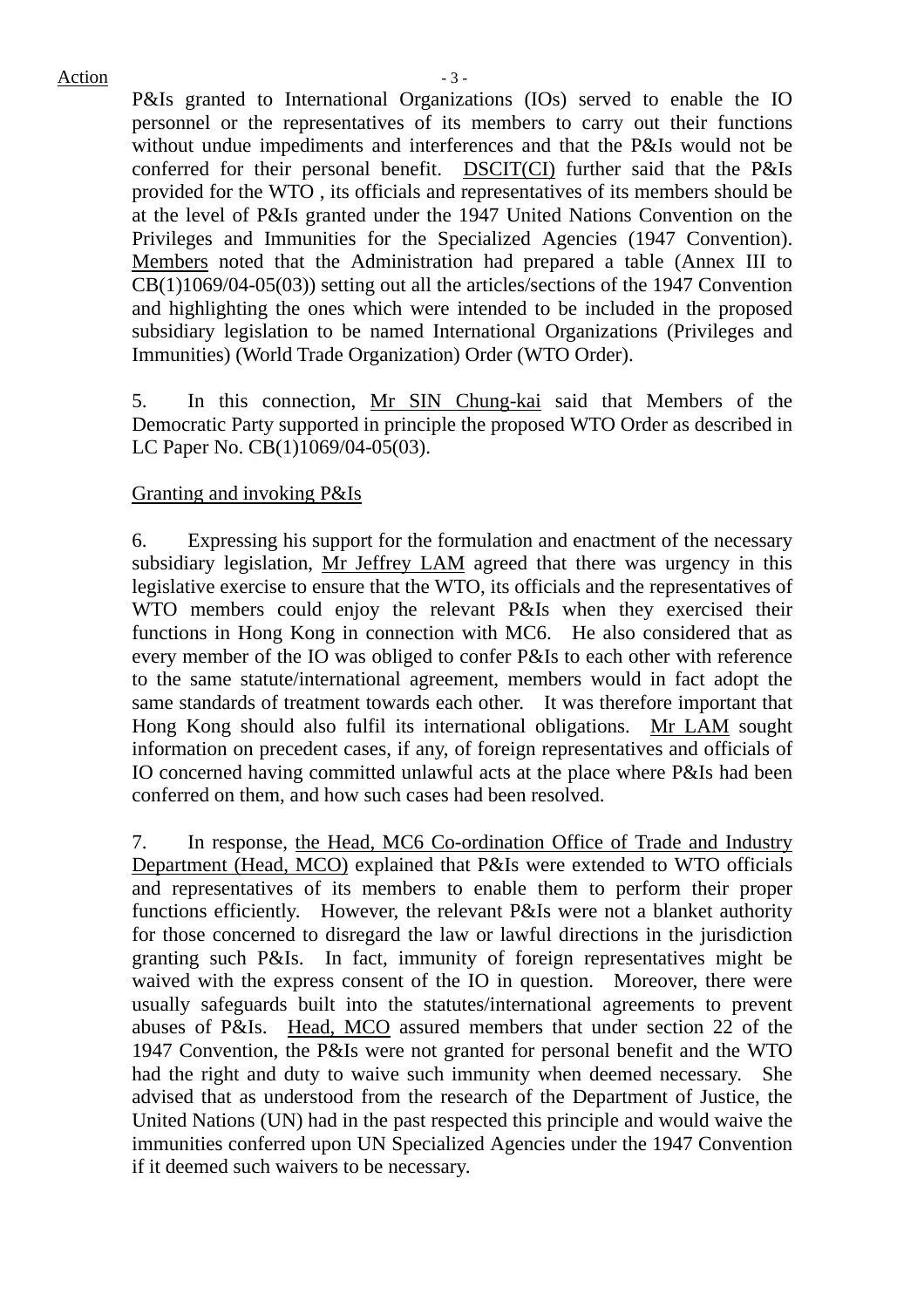Action  $-3$  -

P&Is granted to International Organizations (IOs) served to enable the IO personnel or the representatives of its members to carry out their functions without undue impediments and interferences and that the P&Is would not be conferred for their personal benefit. DSCIT(CI) further said that the P&Is provided for the WTO , its officials and representatives of its members should be at the level of P&Is granted under the 1947 United Nations Convention on the Privileges and Immunities for the Specialized Agencies (1947 Convention). Members noted that the Administration had prepared a table (Annex III to CB(1)1069/04-05(03)) setting out all the articles/sections of the 1947 Convention and highlighting the ones which were intended to be included in the proposed subsidiary legislation to be named International Organizations (Privileges and Immunities) (World Trade Organization) Order (WTO Order).

5. In this connection, Mr SIN Chung-kai said that Members of the Democratic Party supported in principle the proposed WTO Order as described in LC Paper No. CB(1)1069/04-05(03).

### Granting and invoking P&Is

6. Expressing his support for the formulation and enactment of the necessary subsidiary legislation, Mr Jeffrey LAM agreed that there was urgency in this legislative exercise to ensure that the WTO, its officials and the representatives of WTO members could enjoy the relevant P&Is when they exercised their functions in Hong Kong in connection with MC6. He also considered that as every member of the IO was obliged to confer P&Is to each other with reference to the same statute/international agreement, members would in fact adopt the same standards of treatment towards each other. It was therefore important that Hong Kong should also fulfil its international obligations. Mr LAM sought information on precedent cases, if any, of foreign representatives and officials of IO concerned having committed unlawful acts at the place where P&Is had been conferred on them, and how such cases had been resolved.

7. In response, the Head, MC6 Co-ordination Office of Trade and Industry Department (Head, MCO) explained that P&Is were extended to WTO officials and representatives of its members to enable them to perform their proper functions efficiently. However, the relevant P&Is were not a blanket authority for those concerned to disregard the law or lawful directions in the jurisdiction granting such P&Is. In fact, immunity of foreign representatives might be waived with the express consent of the IO in question. Moreover, there were usually safeguards built into the statutes/international agreements to prevent abuses of P&Is. Head, MCO assured members that under section 22 of the 1947 Convention, the P&Is were not granted for personal benefit and the WTO had the right and duty to waive such immunity when deemed necessary. She advised that as understood from the research of the Department of Justice, the United Nations (UN) had in the past respected this principle and would waive the immunities conferred upon UN Specialized Agencies under the 1947 Convention if it deemed such waivers to be necessary.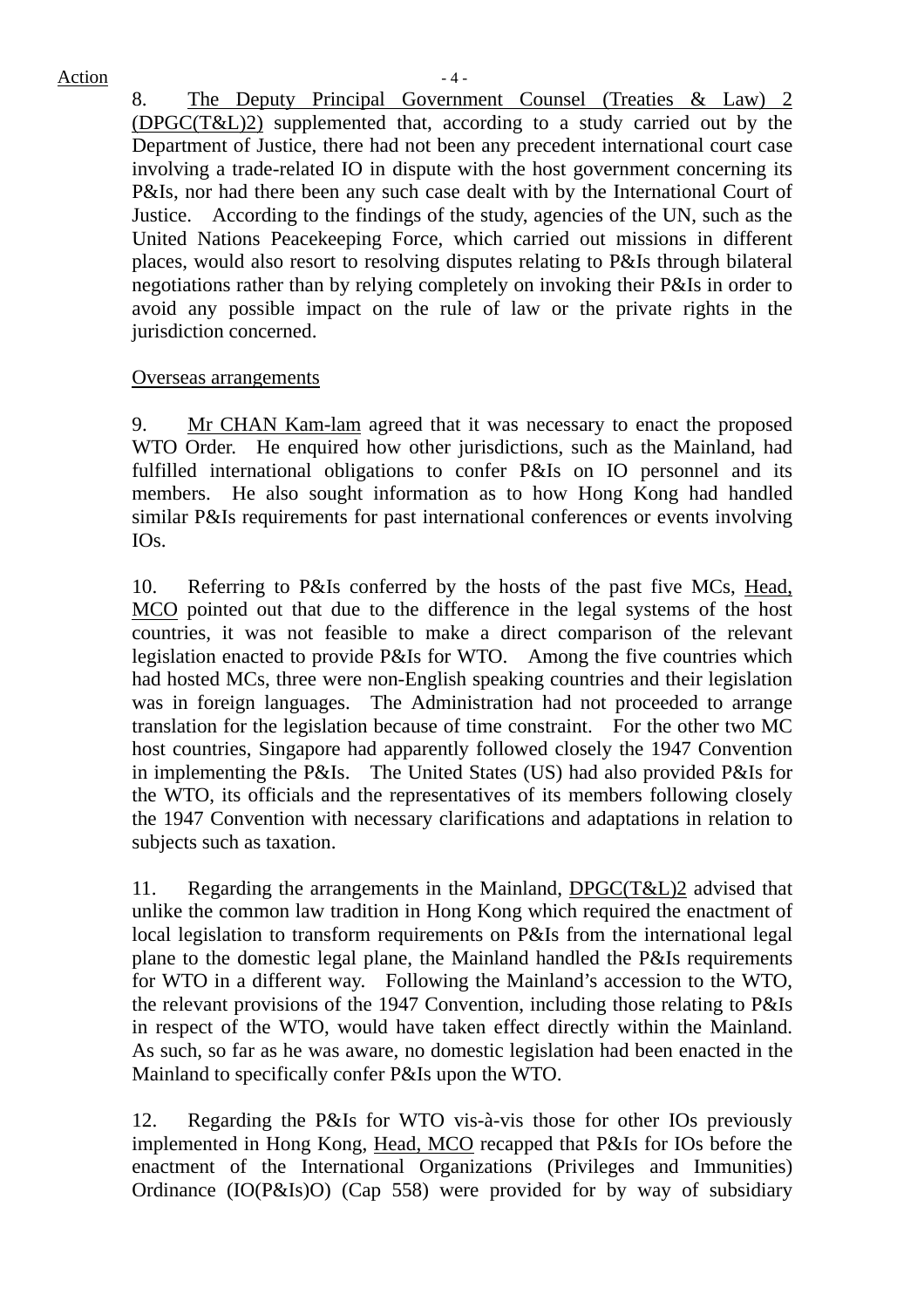$Action - 4 -$ 

8. The Deputy Principal Government Counsel (Treaties & Law) 2 (DPGC(T&L)2) supplemented that, according to a study carried out by the Department of Justice, there had not been any precedent international court case involving a trade-related IO in dispute with the host government concerning its P&Is, nor had there been any such case dealt with by the International Court of Justice. According to the findings of the study, agencies of the UN, such as the United Nations Peacekeeping Force, which carried out missions in different places, would also resort to resolving disputes relating to P&Is through bilateral negotiations rather than by relying completely on invoking their P&Is in order to avoid any possible impact on the rule of law or the private rights in the jurisdiction concerned.

### Overseas arrangements

9. Mr CHAN Kam-lam agreed that it was necessary to enact the proposed WTO Order. He enquired how other jurisdictions, such as the Mainland, had fulfilled international obligations to confer P&Is on IO personnel and its members. He also sought information as to how Hong Kong had handled similar P&Is requirements for past international conferences or events involving IOs.

10. Referring to P&Is conferred by the hosts of the past five MCs, Head, MCO pointed out that due to the difference in the legal systems of the host countries, it was not feasible to make a direct comparison of the relevant legislation enacted to provide P&Is for WTO. Among the five countries which had hosted MCs, three were non-English speaking countries and their legislation was in foreign languages. The Administration had not proceeded to arrange translation for the legislation because of time constraint. For the other two MC host countries, Singapore had apparently followed closely the 1947 Convention in implementing the P&Is. The United States (US) had also provided P&Is for the WTO, its officials and the representatives of its members following closely the 1947 Convention with necessary clarifications and adaptations in relation to subjects such as taxation.

11. Regarding the arrangements in the Mainland, DPGC(T&L)2 advised that unlike the common law tradition in Hong Kong which required the enactment of local legislation to transform requirements on P&Is from the international legal plane to the domestic legal plane, the Mainland handled the P&Is requirements for WTO in a different way. Following the Mainland's accession to the WTO, the relevant provisions of the 1947 Convention, including those relating to P&Is in respect of the WTO, would have taken effect directly within the Mainland. As such, so far as he was aware, no domestic legislation had been enacted in the Mainland to specifically confer P&Is upon the WTO.

12. Regarding the P&Is for WTO vis-à-vis those for other IOs previously implemented in Hong Kong, Head, MCO recapped that P&Is for IOs before the enactment of the International Organizations (Privileges and Immunities) Ordinance (IO(P&Is)O) (Cap 558) were provided for by way of subsidiary